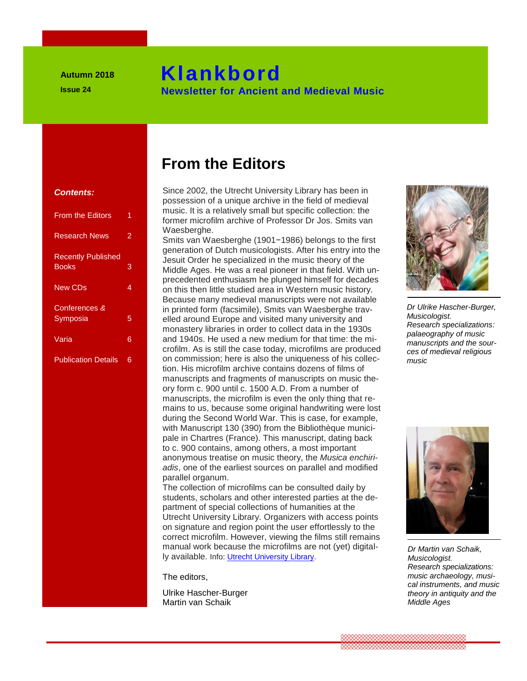# **Klankbord**

 **Newsletter for Ancient and Medieval Music**

#### **Contents:**

| <b>From the Editors</b>                   | 1 |
|-------------------------------------------|---|
| <b>Research News</b>                      | 2 |
| <b>Recently Published</b><br><b>Books</b> | 3 |
| <b>New CDs</b>                            | 4 |
| Conferences &<br>Symposia                 | 5 |
| Varia                                     | 6 |
| <b>Publication Details</b>                | 6 |

# **From the Editors**

 **Klankbord (Klankbord)** 

Since 2002, the Utrecht University Library has been in possession of a unique archive in the field of medieval possession of a unique archive in the field of medieval<br>music. It is a relatively small but specific collection: the **former microfilm archive of Professor Dr Jos. Smits van Lieuwse muziek antieke en middeleeuwste muziek antieke kennet van de latin van de latin van de latin van de latin van de latin van de latin van de latin van de latin** Waesberghe. **Contents:**<br>
Since 2002, the Utrecht University Lib<br>
possession of a unique archive in the<br>
music. It is a relatively small but specify

Smits van Waesberghe (1901−1986) belongs to the first Smits van Waesberghe (1901−1986) belongs to the first<br>generation of Dutch musicologists. After his entry into the Recently Published<br>
Books 3<br>
Books 3<br>
Middle Ages. He was a real pioneer in that field. With<br> **Exercedented onthusians be plunged bimedifier decay** Middle Ages. He was a real pioneer in that field. With unprecedented enthusiasm he plunged himself for decades **Ion this then little studied area in Western music history.**<br> **New CDs 4 on this then little studied area in Western music history.** Because many medieval manuscripts were not available in printed form (facsimile), Smits van Waesberghe trav-**EXAMPOSIA** Elled around Europe and visited many university and<br> **EXAMPOSIA**<br> **EXAMPOSIAL STATES**<br> **EXAMPOSIAL STATES**<br> **EXAMPOSIAL STATES**<br> **EXAMPOSIAL STATES**<br> **EXAMPOSIAL STATES**<br> **EXAMPOSIAL STATES**<br> **EXAMPOSIAL STATES** monastery libraries in order to collect data in the 1930s **From the Editors** and 1940s. He used a new medium for that time: the mi-**Example 1999 Contract and Medical Music and Medical Music and Medical Music and Medical Music and Medical Music**<br> **1999 Contract and Medical Music and Medical Music and Medical Music and Medical Music and Medical Music an** on commission; here is also the uniqueness of his collection. His microfilm archive contains dozens of films of manuscripts and fragments of manuscripts on music theory form c. 900 until c. 1500 A.D. From a number of manuscripts of the algorithm of the state of the state of the manuscripts, the microfilm is even the only thing that manuscripts, the microfilm is even the only thing that re-**Mains to us, because some original handwriting were lost antieke muziek and writing were lost antieke engagement of the conservation of the conservation of the conservation of the conservation of the conservation of the c** during the Second World War. This is case, for example, with Manuscript 130 (390) from the Bibliothèque municipale in Chartres (France). This manuscript, dating back to c. 900 contains, among others, a most important<br> **CROPER TO CONTRACTLY** the Musics of anonymous treatise on music theory, the *Musica enchiriadis*, one of the earliest sources on parallel and modified parallel organum.  **Nieuwsbrief voor antieke en middeleeuwste muzieke muzieke muzieke muzieke konstantieke konst 1999 to c. 900 contains, among others, a m**<br>anonymous treatise on music theory, t<br>*adis*, one of the earliest sources on pa

The collection of microfilms can be consulted daily by students, scholars and other interested parties at the department of special collections of humanities at the Utrecht University Library. Organizers with access points **On signature and region point the user effortlessly to the user effortlessly to the user effortlessly to the user effortlessly to the user effortlessly to the user effortlessly to the user effortlessly to the user effortl** correct microfilm. However, viewing the films still remains manual work because the microfilms are minis surferitating the minis and terminal work because the microfilms are not (yet) digitally available. Info: [Utrecht University Library.](https://www.uu.nl/en/university-library)

The editors,

Ulrike Hascher-Burger Martin van Schaik



*Dr Ulrike Hascher-Burger, Musicologist. Research specializations: palaeography of music manuscripts and the sources of medieval religious music*



*Dr Martin van Schaik, Musicologist. Research specializations: music archaeology, musical instruments, and music theory in antiquity and the Middle Ages*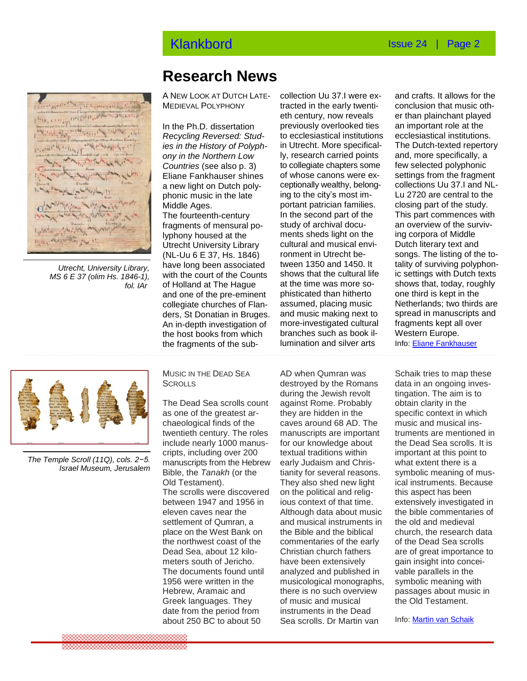

*Utrecht, University Library, MS 6 E 37 (olim Hs. 1846-1), fol. IAr*

### **Research News**

A NEW LOOK AT DUTCH LATE-MEDIEVAL POLYPHONY

**Countries (see also p. 3)** to collegiate chapters some **Nieuws van het onderzoeksveld** In the second part of the **Research News** (NL-Uu 6 E 37, Hs. 1846) **Nieuws van het onderzoeksveld** collegiate churches of Flan-Interact of the sub-<br>  $\frac{1}{2}$  lumination and silver arts In the Ph.D. dissertation *Recycling Reversed: Studies in the History of Polyphony in the Northern Low Countries* (see also p. 3) Eliane Fankhauser shines a new light on Dutch polyphonic music in the late Middle Ages. The fourteenth-century fragments of mensural polyphony housed at the Utrecht University Library have long been associated with the court of the Counts of Holland at The Hague and one of the pre-eminent ders, St Donatian in Bruges. An in-depth investigation of the host books from which

eth century, now reveals<br>In the Ph.D. dissertation previously overlooked ties collection Uu 37.I were extracted in the early twentieth century, now reveals to ecclesiastical institutions in Utrecht. More specifically, research carried points of whose canons were exceptionally wealthy, belonging to the city's most important patrician families. study of archival documents sheds light on the cultural and musical environment in Utrecht between 1350 and 1450. It shows that the cultural life at the time was more sophisticated than hitherto assumed, placing music and music making next to more-investigated cultural branches such as book illumination and silver arts

and crafts. It allows for the conclusion that music other than plainchant played an important role at the ecclesiastical institutions. The Dutch-texted repertory and, more specifically, a few selected polyphonic settings from the fragment collections Uu 37.I and NL-Lu 2720 are central to the closing part of the study. This part commences with an overview of the surviving corpora of Middle Dutch literary text and songs. The listing of the totality of surviving polyphonic settings with Dutch texts shows that, today, roughly one third is kept in the Netherlands; two thirds are spread in manuscripts and fragments kept all over Western Europe.

Info: Eliane [Fankhauser](mailto:fankhauser.eliane@gmail.com)



*The Temple Scroll (11Q), cols. 2−5. Israel Museum, Jerusalem*

MUSIC IN THE DEAD SEA **SCROLLS** 

The Dead Sea scrolls count as one of the greatest archaeological finds of the twentieth century. The roles include nearly 1000 manuscripts, including over 200 manuscripts from the Hebrew Bible, the *Tanakh* (or the Old Testament). The scrolls were discovered between 1947 and 1956 in eleven caves near the settlement of Qumran, a place on the West Bank on the northwest coast of the Dead Sea, about 12 kilometers south of Jericho. The documents found until 1956 were written in the Hebrew, Aramaic and Greek languages. They date from the period from about 250 BC to about 50

**Nightlands SCROLLS**<br>during the Jewish revolt AD when Qumran was destroyed by the Romans against Rome. Probably they are hidden in the caves around 68 AD. The manuscripts are important for our knowledge about textual traditions within early Judaism and Christianity for several reasons. They also shed new light on the political and religious context of that time. Although data about music and musical instruments in the Bible and the biblical commentaries of the early Christian church fathers have been extensively analyzed and published in musicological monographs, there is no such overview of music and musical instruments in the Dead Sea scrolls. Dr Martin van

Schaik tries to map these data in an ongoing investingation. The aim is to obtain clarity in the specific context in which music and musical instruments are mentioned in the Dead Sea scrolls. It is important at this point to what extent there is a symbolic meaning of musical instruments. Because this aspect has been extensively investigated in the bible commentaries of the old and medieval church, the research data of the Dead Sea scrolls are of great importance to gain insight into conceivable parallels in the symbolic meaning with passages about music in the Old Testament.

Info: [Martin van Schaik](mailto:info@martinvanschaik.com)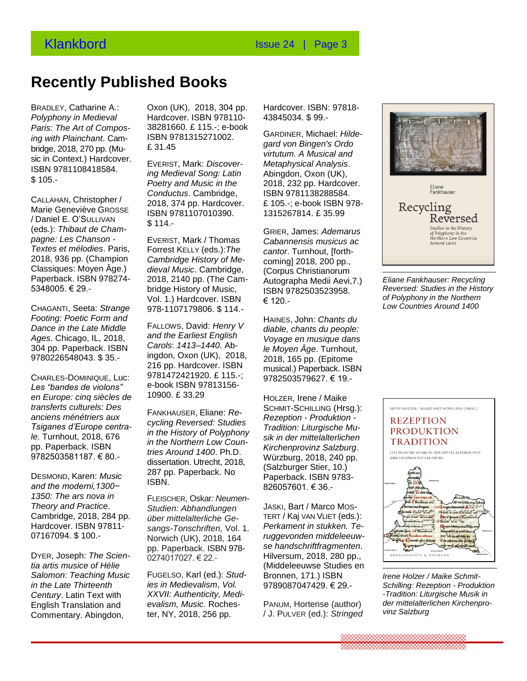## **Recently Published Books**

BRADLEY, Catharine A.: *Polyphony in Medieval*  Paris: The Art of Compos-<br>Paris: The Art of Compos-<br>**Recent Compos-**<br>Recent book **E** 115.-; e-bo *ing with Plainchant*. Cambridge, 2018, 270 pp. (Music in Context.) Hardcover. ISBN 9781108418584. \$ 105.- **RECONDENT REFERS**<br> **Realishment Song: Latin ing Medieval Song: Latin 4** 

CALLAHAN, Christopher / Marie Geneviève GROSSE / Daniel E. O'SULLIVAN (eds.): *Thibaut de Champagne: Les Chanson - Textes et mélodies*. Paris, 2018, 936 pp. (Champion *Cambridge History of*<br>Classiques: Moven <sup>8</sup>ge ) adjacel Music Combr Classiques: Moyen Âge.) Paperback. ISBN 978274- 5348005. € 29. warie Genevieve GROSSE<sub>RISBN</sub> 9781107010390.<br>/ Daniel E. O'SULLIVAN**NEGE ALLA** 

*Footing: Poetic Form and Dance in the Late Middle Ages*. Chicago, IL, 2018, 304 pp. Paperback. ISBN **Recent verschenen boeken**  9780226548043. \$ 35.-

CHARLES-DOMINIQUE, Luc: *Les "bandes de violons"*  Les bandes de violons<br>en Europe: cinq siècles de <sup>10900</sup>. £ 33.29 *transferts culturels: Des anciens ménétriers aux Tsiganes d'Europe centrale*. Turnhout, 2018, 676 pp. Paperback. ISBN 9782503581187. € 80.-

DESMOND, Karen: *Music and the moderni,1300− 1350: The ars nova in Theory and Practice*. Cambridge, 2018, 284 pp. Hardcover. ISBN 97811- 07167094. \$ 100.-

DYER, Joseph: *The Scientia artis musice of Hélie Salomon: Teaching Music in the Late Thirteenth Century*. Latin Text with English Translation and Commentary. Abingdon,

Oxon (UK), 2018, 304 pp. Hardcover. ISBN 978110- 38281660. £ 115.-; e-book ISBN 9781315271002. £ 31.45

EVERIST, Mark: *Discover-Poetry and Music in the Conductus*. Cambridge, 2018, 374 pp. Hardcover. \$ 114.-

voi. 1.) Hardcover. ISB<br>CHAGANTI, Seeta: *Strange* 978-1107179806. \$ 11 EVERIST, Mark / Thomas Forrest KELLY (eds.):*The Cambridge History of Medieval Music*. Cambridge, 2018, 2140 pp. (The Cambridge History of Music, Vol. 1.) Hardcover. ISBN 978-1107179806. \$ 114.-

> FALLOWS, David: *Henry V and the Earliest English Carols*: *1413–1440*. Abingdon, Oxon (UK), 2018, 216 pp. Hardcover. ISBN 9781472421920. £ 115.-; e-book ISBN 97813156- 10900. £ 33.29

FANKHAUSER, Eliane: *Recycling Reversed: Studies in the History of Polyphony in the Northern Low Countries Around 1400*. Ph.D. dissertation. Utrecht, 2018, 287 pp. Paperback. No ISBN.

FLEISCHER, Oskar*: Neumen-Studien: Abhandlungen über mittelalterliche Gesangs-Tonschriften,* Vol. 1. Norwich (UK), 2018, 164 pp. Paperback. ISBN 978- 0274017027. € 22.-

FUGELSO, Karl (ed.): *Studies in Medievalism*, *Vol. XXVII: Authenticity, Medievalism, Music*. Rochester, NY, 2018, 256 pp.

Hardcover. ISBN: 97818- 43845034. \$ 99.-

GARDINER, Michael: *Hildegard von Bingen's Ordo virtutum. A Musical and Metaphysical Analysis*. Abingdon, Oxon (UK), 2018, 232 pp. Hardcover. ISBN 9781138288584. £ 105.-; e-book ISBN 978- 1315267814. £ 35.99

GRIER, James: *Ademarus Cabannensis musicus ac cantor*. Turnhout, [forthcoming] 2018, 200 pp., (Corpus Christianorum Autographa Medii Aevi,7.) ISBN 9782503523958. € 120.-

HAINES, John: *Chants du diable, chants du people: Voyage en musique dans le Moyen Âge*. Turnhout, 2018, 165 pp. (Epitome musical.) Paperback. ISBN 9782503579627. € 19.-

HOLZER, Irene / Maike SCHMIT-SCHILLING (Hrsg.): *Rezeption - Produktion - Tradition: Liturgische Musik in der mittelalterlichen Kirchenprovinz Salzburg*. Würzburg, 2018, 240 pp. (Salzburger Stier, 10.) Paperback. ISBN 9783- 826057601. € 36.-

JASKI, Bart / Marco MOS-TERT / Kaj VAN VLIET (eds.): *Perkament in stukken. Teruggevonden middeleeuwse handschriftfragmenten*. Hilversum, 2018, 280 pp., (Middeleeuwse Studies en Bronnen, 171.) ISBN 9789087047429. € 29.-

PANUM, Hortense (author) / J. PULVER (ed.): *Stringed* 



*Eliane Fankhauser: Recycling Reversed: Studies in the History of Polyphony in the Northern Low Countries Around 1400*



*Irene Holzer / Maike Schmit-Schilling: Rezeption - Produktion -Tradition: Liturgische Musik in der mittelalterlichen Kirchenprovinz Salzburg*

,,,,,,,,,,,,,,,,,,,,,,,,,,,,,,,,,,,,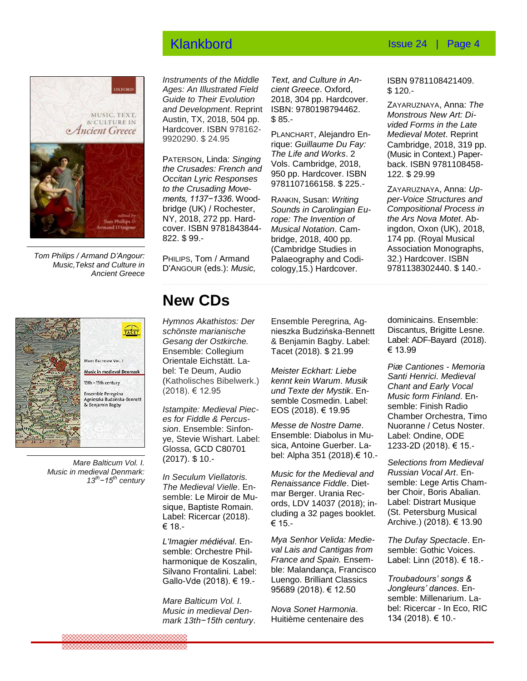

*Tom Philips / Armand D'Angour: Music,Tekst and Culture in Ancient Greece*

*Instruments of the Middle Ages: An Illustrated Field Guide to Their Evolution and Development*. Reprint Austin, TX, 2018, 504 pp. Hardcover. ISBN 978162- 9920290. \$ 24.95

PATERSON, Linda: *Singing the Crusades: French and Occitan Lyric Responses to the Crusading Movements, 1137−1336*. Woodbridge (UK) / Rochester, NY, 2018, 272 pp. Hardcover. ISBN 9781843844- 822. \$ 99.-

*Text, and Culture in Ancient Greece*. Oxford, 2018, 304 pp. Hardcover. ISBN: 9780198794462. \$ 85.-

PLANCHART, Alejandro Enrique: *Guillaume Du Fay: The Life and Works*. 2 Vols. Cambridge, 2018, 950 pp. Hardcover. ISBN 9781107166158. \$ 225.-

RANKIN, Susan: *Writing Sounds in Carolingian Europe: The Invention of Musical Notation*. Cambridge, 2018, 400 pp. (Cambridge Studies in Palaeography and Codicology,15.) Hardcover.

ISBN 9781108421409. \$ 120.-

ZAYARUZNAYA, Anna: *The Monstrous New Art: Divided Forms in the Late Medieval Motet*. Reprint Cambridge, 2018, 319 pp. (Music in Context.) Paperback. ISBN 9781108458- 122. \$ 29.99

ZAYARUZNAYA, Anna: *Upper-Voice Structures and Compositional Process in the Ars Nova Motet*. Abingdon, Oxon (UK), 2018, 174 pp. (Royal Musical Association Monographs, 32.) Hardcover. ISBN 9781138302440. \$ 140.-



*Mare Balticum Vol. I. Music in medieval Denmark: 13th−15th century*

## **New CDs**

PHILIPS, Tom / Armand D'ANGOUR (eds.): *Music,* 

*Hymnos Akathistos: Der schönste marianische*<br>Gesang der Ostkirche *Gesang der Ostkirche.*  Ensemble: Collegium Orientale Eichstätt. Laonemale Elcristatt: Ea-<br>bel: Te Deum, Audio (Katholisches Bibelwerk.) (2018). € 12.95

**Istampite: Medieval Piec***es for Fiddle & Percussion*. Ensemble: Sinfonsion: *Lisembie: Simon*<br>ye, Stevie Wishart. Label: Glossa, GCD C80701 (2017). \$ 10.-

*In Seculum Viellatoris. The Medieval Vielle*. Ensemble: Le Miroir de Musemble: Le Miloli de Ma<br>sique, Baptiste Romain. Label: Ricercar (2018). € 18.-

*L'Imagier médiéval*. Ensemble: Orchestre Philharmonique de Koszalin, Silvano Frontalini. Label: Gallo-Vde (2018). € 19.-

*Mare Balticum Vol. I. Music in medieval Denmark 13th−15th century*.

Ensemble Peregrina, Agnieszka Budzińska-Bennett & Benjamin Bagby. Label: Tacet (2018). \$ 21.99

*Meister Eckhart: Liebe kennt kein Warum*. *Musik und Texte der Mystik*. Ensemble Cosmedin. Label: EOS (2018). € 19.95

*Messe de Nostre Dame*. Ensemble: Diabolus in Musica, Antoine Guerber. Label: Alpha 351 (2018).€ 10.-

*Music for the Medieval and Renaissance Fiddle*. Dietmar Berger. Urania Records, LDV 14037 (2018); including a 32 pages booklet. € 15.-

*Mya Senhor Velida: Medieval Lais and Cantigas from France and Spain.* Ensemble: Malandança, Francisco Luengo. Brilliant Classics 95689 (2018). € 12.50

*Nova Sonet Harmonia*. Huitième centenaire des dominicains. Ensemble: Discantus, Brigitte Lesne. Label: ADF-Bayard (2018). € 13.99

*Piæ Cantiones - Memoria Santi Henrici. Medieval Chant and Early Vocal Music form Finland*. Ensemble: Finish Radio Chamber Orchestra, Timo Nuoranne / Cetus Noster. Label: Ondine, ODE 1233-2D (2018). € 15.-

*Selections from Medieval Russian Vocal Art*. Ensemble: [Lege Artis Cham](http://www.amazon.fr/s/ref=dp_db_clas_perf?ie=UTF8&keywords=Lege%20Artis%20Chamber%20Choir&search-alias=classical)[ber Choir,](http://www.amazon.fr/s/ref=dp_db_clas_perf?ie=UTF8&keywords=Lege%20Artis%20Chamber%20Choir&search-alias=classical) Boris Abalian. Label: Distrart Musique (St. Petersburg Musical Archive.) (2018). € 13.90

*The Dufay Spectacle*. Ensemble: [Gothic Voices.](https://www.amazon.fr/s/ref=dp_byline_sr_music_2?ie=UTF8&field-artist=Gothic+Voices&search-alias=music-fr) Label: Linn (2018). € 18.-

*Troubadours' songs & Jongleurs' dances*. Ensemble: Millenarium. Label: Ricercar - In Eco, RIC 134 (2018). € 10.-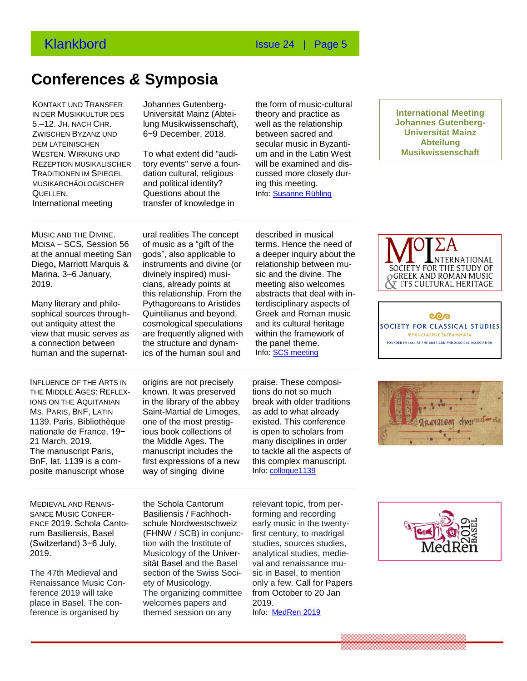## **Conferences** *&* **Symposia**

 . IN DER MUSIKKULTUR DES KONTAKT UND TRANSFER 5.–12. JH. NACH CHR. **Congressed and Symposity Service Article** ZWISCHEN BYZANZ UND DEM LATEINISCHEN WESTEN. WIRKUNG UND REZEPTION MUSIKALISCHER TRADITIONEN IM SPIEGEL MUSIKARCHÄOLOGISCHER QUELLEN. International meeting **CONGRESS AND STANCHAOLOGISCHER** and point and identity **POINT AND STANCHAOLOGISCHER** 

Johannes Gutenberg-Universität Mainz (Abteilung Musikwissenschaft), 6−9 December, 2018.

To what extent did "auditory events" serve a foundation cultural, religious and political identity? transfer of knowledge in

the form of music-cultural theory and practice as well as the relationship between sacred and secular music in Byzantium and in the Latin West will be examined and discussed more closely during this meeting. Info: [Susanne Rühling](mailto:ruehling@rgzm.de)

**lnternational Meeting Johannes Gutenberg-Universität Mainz Abteilung Musikwissenschaft**

at the annual meeting San gods", also applical<br>Diego**,** Marriott Marquis & instruments and div MUSIC AND THE DIVINE. MOISA – SCS, Session 56 at the annual meeting San Marina. 3–6 January, 2019.

out antiquity attest the cosmological speculations<br>
view that music serves as are frequently aligned with Many literary and philosophical sources throughout antiquity attest the view that music serves as a connection between human and the supernat-

**Congressen & symposia** 

ural realities The concept of music as a "gift of the gods", also applicable to instruments and divine (or divinely inspired) musicians, already points at this relationship. From the Pythagoreans to Aristides Quintilianus and beyond, are frequently aligned with the structure and dynamics of the human soul and

described in musical terms. Hence the need of a deeper inquiry about the relationship between music and the divine. The meeting also welcomes abstracts that deal with interdisciplinary aspects of Greek and Roman music and its cultural heritage within the framework of the panel theme. Info: [SCS meeting](https://classicalstudies.org/annual-meeting/2019-annual-meeting)

nationale de France, 19<sup>11</sup> and to book collections o<br>21 March, 2019. the Middle Ages. The INFLUENCE OF THE ARTS IN THE MIDDLE AGES: REFLEX-IONS ON THE AQUITANIAN MS. PARIS, BNF, LATIN 1139. Paris, Bibliothèque nationale de France, 19− 21 March, 2019. The manuscript Paris, BnF, lat. 1139 is a composite manuscript whose

origins are not precisely known. It was preserved in the library of the abbey Saint-Martial de Limoges, one of the most prestigious book collections of manuscript includes the first expressions of a new way of singing divine

praise. These compositions do not so much break with older traditions as add to what already existed. This conference is open to scholars from many disciplines in order to tackle all the aspects of this complex manuscript. Info: [colloque1139](https://colloque1139.fr/)







**CONGRESS**<br> **Congress Attack Contract Congress Contract Contract Contract Contract Congress** SANCE MUSIC CONFER-ENCE 2019. Schola Cantorum Basiliensis, Basel (Switzerland) 3−6 July, 2019.

The 47th Medieval and Renaissance Music Conference 2019 will take place in Basel. The conference is organised by

the Schola Cantorum [Basiliensis](https://www.facebook.com/pages/Schola-Cantorum-Basiliensis/1586514138058355?fref=mentions&__xts__%5B0%5D=68.ARCmK6MWF4jHqGZMtoOiFzeb7xdGZdcIOkNEi7yTBM6CysL3VvqZ1ul96q7foI5WmPGzAt4c-OKQ1kVjPsD7zoLYdrWV8ewn5tBB557l2mdRe-JJiasUX1GJLSbjX75gwn-ZuH0QU1alc4siZj29OEa0tfQ2SLPdGfGa0i20p29O4fHh6fswAg&__tn__=K-R) / [Fachhoch](https://www.facebook.com/fhnw.ch/?fref=mentions&__xts__%5B0%5D=68.ARCmK6MWF4jHqGZMtoOiFzeb7xdGZdcIOkNEi7yTBM6CysL3VvqZ1ul96q7foI5WmPGzAt4c-OKQ1kVjPsD7zoLYdrWV8ewn5tBB557l2mdRe-JJiasUX1GJLSbjX75gwn-ZuH0QU1alc4siZj29OEa0tfQ2SLPdGfGa0i20p29O4fHh6fswAg&__tn__=K-R)[schule Nordwestschweiz](https://www.facebook.com/fhnw.ch/?fref=mentions&__xts__%5B0%5D=68.ARCmK6MWF4jHqGZMtoOiFzeb7xdGZdcIOkNEi7yTBM6CysL3VvqZ1ul96q7foI5WmPGzAt4c-OKQ1kVjPsD7zoLYdrWV8ewn5tBB557l2mdRe-JJiasUX1GJLSbjX75gwn-ZuH0QU1alc4siZj29OEa0tfQ2SLPdGfGa0i20p29O4fHh6fswAg&__tn__=K-R)  [\(FHNW](https://www.facebook.com/fhnw.ch/?fref=mentions&__xts__%5B0%5D=68.ARCmK6MWF4jHqGZMtoOiFzeb7xdGZdcIOkNEi7yTBM6CysL3VvqZ1ul96q7foI5WmPGzAt4c-OKQ1kVjPsD7zoLYdrWV8ewn5tBB557l2mdRe-JJiasUX1GJLSbjX75gwn-ZuH0QU1alc4siZj29OEa0tfQ2SLPdGfGa0i20p29O4fHh6fswAg&__tn__=K-R) / SCB) in conjunction with the Institute of Musicology of the Universität Basel and the Basel section of the Swiss Society of Musicology. The organizing committee welcomes papers and themed session on any

relevant topic, from performing and recording early music in the twentyfirst century, to madrigal studies, sources studies, analytical studies, medieval and renaissance music in Basel, to mention only a few. Call for Papers from October to 20 Jan 2019. Info: [MedRen 2019](https://medren2019basel.com/)